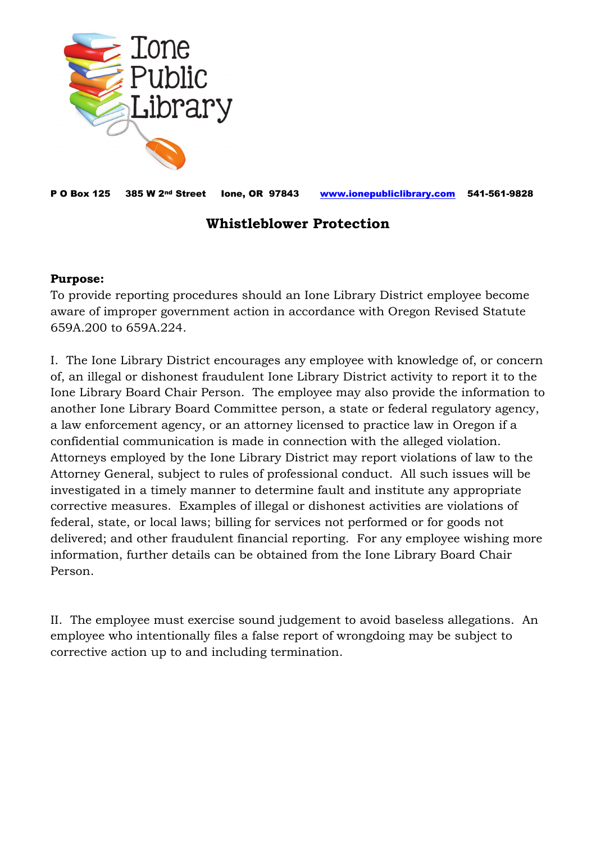

P O Box 125 385 W 2nd Street Ione, OR 97843 [www.ionepubliclibrary.com](http://www.ionepubliclibrary.com/) 541-561-9828

## **Whistleblower Protection**

## **Purpose:**

To provide reporting procedures should an Ione Library District employee become aware of improper government action in accordance with Oregon Revised Statute 659A.200 to 659A.224.

I. The Ione Library District encourages any employee with knowledge of, or concern of, an illegal or dishonest fraudulent Ione Library District activity to report it to the Ione Library Board Chair Person. The employee may also provide the information to another Ione Library Board Committee person, a state or federal regulatory agency, a law enforcement agency, or an attorney licensed to practice law in Oregon if a confidential communication is made in connection with the alleged violation. Attorneys employed by the Ione Library District may report violations of law to the Attorney General, subject to rules of professional conduct. All such issues will be investigated in a timely manner to determine fault and institute any appropriate corrective measures. Examples of illegal or dishonest activities are violations of federal, state, or local laws; billing for services not performed or for goods not delivered; and other fraudulent financial reporting. For any employee wishing more information, further details can be obtained from the Ione Library Board Chair Person.

II. The employee must exercise sound judgement to avoid baseless allegations. An employee who intentionally files a false report of wrongdoing may be subject to corrective action up to and including termination.